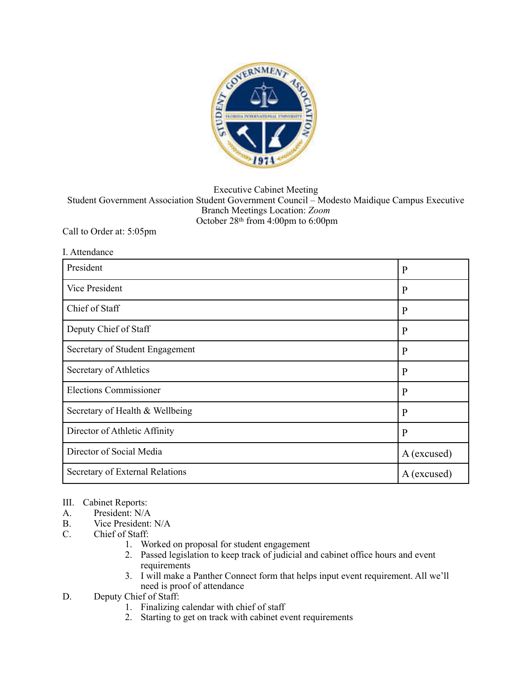

Executive Cabinet Meeting

Student Government Association Student Government Council – Modesto Maidique Campus Executive Branch Meetings Location: *Zoom*  October 28th from 4:00pm to 6:00pm

## Call to Order at: 5:05pm

## I. Attendance

| President                       | $\mathbf{P}$ |
|---------------------------------|--------------|
| Vice President                  | $\mathbf{P}$ |
| Chief of Staff                  | P            |
| Deputy Chief of Staff           | P            |
| Secretary of Student Engagement | P            |
| Secretary of Athletics          | P            |
| <b>Elections Commissioner</b>   | P            |
| Secretary of Health & Wellbeing | P            |
| Director of Athletic Affinity   | P            |
| Director of Social Media        | A (excused)  |
| Secretary of External Relations | A (excused)  |

- III. Cabinet Reports:<br>A. President: N/A
- President: N/A
- B. Vice President: N/A<br>C. Chief of Staff:
- Chief of Staff:
	- 1. Worked on proposal for student engagement
	- 2. Passed legislation to keep track of judicial and cabinet office hours and event requirements
	- 3. I will make a Panther Connect form that helps input event requirement. All we'll need is proof of attendance
- D. Deputy Chief of Staff:
	- 1. Finalizing calendar with chief of staff
	- 2. Starting to get on track with cabinet event requirements